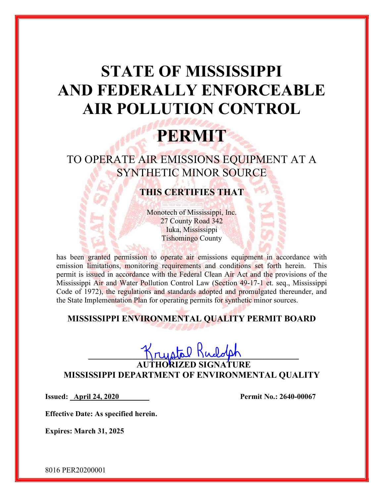# STATE OF MISSISSIPPI AND FEDERALLY ENFORCEABLE AIR POLLUTION CONTROL

## PERMIT

TO OPERATE AIR EMISSIONS EQUIPMENT AT A SYNTHETIC MINOR SOURCE

### THIS CERTIFIES THAT

Monotech of Mississippi, Inc. 27 County Road 342 Iuka, Mississippi Tishomingo County

has been granted permission to operate air emissions equipment in accordance with emission limitations, monitoring requirements and conditions set forth herein. This permit is issued in accordance with the Federal Clean Air Act and the provisions of the Mississippi Air and Water Pollution Control Law (Section 49-17-1 et. seq., Mississippi Code of 1972), the regulations and standards adopted and promulgated thereunder, and the State Implementation Plan for operating permits for synthetic minor sources.

### MISSISSIPPI ENVIRONMENTAL QUALITY PERMIT BOARD

## $\Gamma$ rustal Mudolph

AUTHORIZED SIGNATURE MISSISSIPPI DEPARTMENT OF ENVIRONMENTAL QUALITY

Issued: <u>April 24, 2020</u> Permit No.: 2640-00067

Effective Date: As specified herein.

Expires: March 31, 2025

8016 PER20200001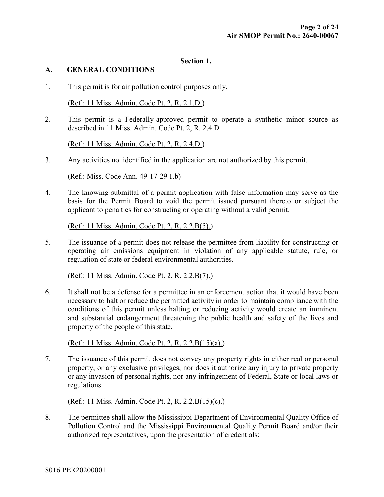#### Section 1.

#### A. GENERAL CONDITIONS

1. This permit is for air pollution control purposes only.

(Ref.: 11 Miss. Admin. Code Pt. 2, R. 2.1.D.)

2. This permit is a Federally-approved permit to operate a synthetic minor source as described in 11 Miss. Admin. Code Pt. 2, R. 2.4.D.

(Ref.: 11 Miss. Admin. Code Pt. 2, R. 2.4.D.)

3. Any activities not identified in the application are not authorized by this permit.

(Ref.: Miss. Code Ann. 49-17-29 1.b)

4. The knowing submittal of a permit application with false information may serve as the basis for the Permit Board to void the permit issued pursuant thereto or subject the applicant to penalties for constructing or operating without a valid permit.

(Ref.: 11 Miss. Admin. Code Pt. 2, R. 2.2.B(5).)

5. The issuance of a permit does not release the permittee from liability for constructing or operating air emissions equipment in violation of any applicable statute, rule, or regulation of state or federal environmental authorities.

(Ref.: 11 Miss. Admin. Code Pt. 2, R. 2.2.B(7).)

6. It shall not be a defense for a permittee in an enforcement action that it would have been necessary to halt or reduce the permitted activity in order to maintain compliance with the conditions of this permit unless halting or reducing activity would create an imminent and substantial endangerment threatening the public health and safety of the lives and property of the people of this state.

(Ref.: 11 Miss. Admin. Code Pt. 2, R. 2.2.B(15)(a).)

7. The issuance of this permit does not convey any property rights in either real or personal property, or any exclusive privileges, nor does it authorize any injury to private property or any invasion of personal rights, nor any infringement of Federal, State or local laws or regulations.

(Ref.: 11 Miss. Admin. Code Pt. 2, R. 2.2.B(15)(c).)

8. The permittee shall allow the Mississippi Department of Environmental Quality Office of Pollution Control and the Mississippi Environmental Quality Permit Board and/or their authorized representatives, upon the presentation of credentials: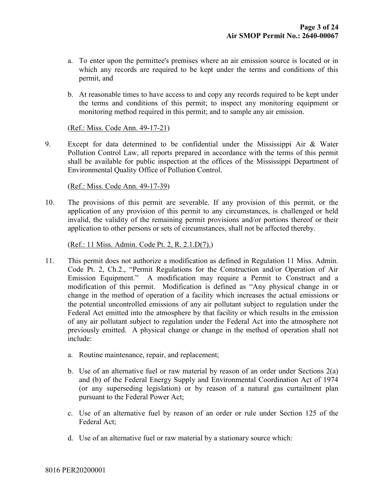- a. To enter upon the permittee's premises where an air emission source is located or in which any records are required to be kept under the terms and conditions of this permit, and
- b. At reasonable times to have access to and copy any records required to be kept under the terms and conditions of this permit; to inspect any monitoring equipment or monitoring method required in this permit; and to sample any air emission.

(Ref.: Miss. Code Ann. 49-17-21)

9. Except for data determined to be confidential under the Mississippi Air & Water Pollution Control Law, all reports prepared in accordance with the terms of this permit shall be available for public inspection at the offices of the Mississippi Department of Environmental Quality Office of Pollution Control.

#### (Ref.: Miss. Code Ann. 49-17-39)

10. The provisions of this permit are severable. If any provision of this permit, or the application of any provision of this permit to any circumstances, is challenged or held invalid, the validity of the remaining permit provisions and/or portions thereof or their application to other persons or sets of circumstances, shall not be affected thereby.

(Ref.: 11 Miss. Admin. Code Pt. 2, R. 2.1.D(7).)

- 11. This permit does not authorize a modification as defined in Regulation 11 Miss. Admin. Code Pt. 2, Ch.2., "Permit Regulations for the Construction and/or Operation of Air Emission Equipment." A modification may require a Permit to Construct and a modification of this permit. Modification is defined as "Any physical change in or change in the method of operation of a facility which increases the actual emissions or the potential uncontrolled emissions of any air pollutant subject to regulation under the Federal Act emitted into the atmosphere by that facility or which results in the emission of any air pollutant subject to regulation under the Federal Act into the atmosphere not previously emitted. A physical change or change in the method of operation shall not include:
	- a. Routine maintenance, repair, and replacement;
	- b. Use of an alternative fuel or raw material by reason of an order under Sections 2(a) and (b) of the Federal Energy Supply and Environmental Coordination Act of 1974 (or any superseding legislation) or by reason of a natural gas curtailment plan pursuant to the Federal Power Act;
	- c. Use of an alternative fuel by reason of an order or rule under Section 125 of the Federal Act;
	- d. Use of an alternative fuel or raw material by a stationary source which: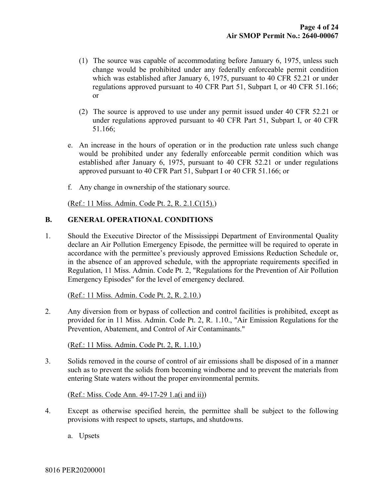- (1) The source was capable of accommodating before January 6, 1975, unless such change would be prohibited under any federally enforceable permit condition which was established after January 6, 1975, pursuant to 40 CFR 52.21 or under regulations approved pursuant to 40 CFR Part 51, Subpart I, or 40 CFR 51.166; or
- (2) The source is approved to use under any permit issued under 40 CFR 52.21 or under regulations approved pursuant to 40 CFR Part 51, Subpart I, or 40 CFR 51.166;
- e. An increase in the hours of operation or in the production rate unless such change would be prohibited under any federally enforceable permit condition which was established after January 6, 1975, pursuant to 40 CFR 52.21 or under regulations approved pursuant to 40 CFR Part 51, Subpart I or 40 CFR 51.166; or
- f. Any change in ownership of the stationary source.

(Ref.: 11 Miss. Admin. Code Pt. 2, R. 2.1.C(15).)

#### B. GENERAL OPERATIONAL CONDITIONS

1. Should the Executive Director of the Mississippi Department of Environmental Quality declare an Air Pollution Emergency Episode, the permittee will be required to operate in accordance with the permittee's previously approved Emissions Reduction Schedule or, in the absence of an approved schedule, with the appropriate requirements specified in Regulation, 11 Miss. Admin. Code Pt. 2, "Regulations for the Prevention of Air Pollution Emergency Episodes" for the level of emergency declared.

#### (Ref.: 11 Miss. Admin. Code Pt. 2, R. 2.10.)

2. Any diversion from or bypass of collection and control facilities is prohibited, except as provided for in 11 Miss. Admin. Code Pt. 2, R. 1.10., "Air Emission Regulations for the Prevention, Abatement, and Control of Air Contaminants."

(Ref.: 11 Miss. Admin. Code Pt. 2, R. 1.10.)

3. Solids removed in the course of control of air emissions shall be disposed of in a manner such as to prevent the solids from becoming windborne and to prevent the materials from entering State waters without the proper environmental permits.

(Ref.: Miss. Code Ann. 49-17-29 1.a(i and ii))

- 4. Except as otherwise specified herein, the permittee shall be subject to the following provisions with respect to upsets, startups, and shutdowns.
	- a. Upsets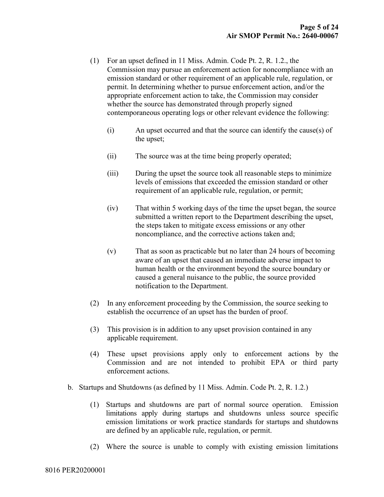- (1) For an upset defined in 11 Miss. Admin. Code Pt. 2, R. 1.2., the Commission may pursue an enforcement action for noncompliance with an emission standard or other requirement of an applicable rule, regulation, or permit. In determining whether to pursue enforcement action, and/or the appropriate enforcement action to take, the Commission may consider whether the source has demonstrated through properly signed contemporaneous operating logs or other relevant evidence the following:
	- (i) An upset occurred and that the source can identify the cause(s) of the upset;
	- (ii) The source was at the time being properly operated;
	- (iii) During the upset the source took all reasonable steps to minimize levels of emissions that exceeded the emission standard or other requirement of an applicable rule, regulation, or permit;
	- (iv) That within 5 working days of the time the upset began, the source submitted a written report to the Department describing the upset, the steps taken to mitigate excess emissions or any other noncompliance, and the corrective actions taken and;
	- (v) That as soon as practicable but no later than 24 hours of becoming aware of an upset that caused an immediate adverse impact to human health or the environment beyond the source boundary or caused a general nuisance to the public, the source provided notification to the Department.
- (2) In any enforcement proceeding by the Commission, the source seeking to establish the occurrence of an upset has the burden of proof.
- (3) This provision is in addition to any upset provision contained in any applicable requirement.
- (4) These upset provisions apply only to enforcement actions by the Commission and are not intended to prohibit EPA or third party enforcement actions.
- b. Startups and Shutdowns (as defined by 11 Miss. Admin. Code Pt. 2, R. 1.2.)
	- (1) Startups and shutdowns are part of normal source operation. Emission limitations apply during startups and shutdowns unless source specific emission limitations or work practice standards for startups and shutdowns are defined by an applicable rule, regulation, or permit.
	- (2) Where the source is unable to comply with existing emission limitations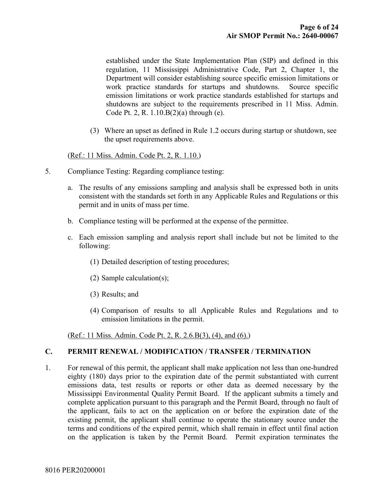established under the State Implementation Plan (SIP) and defined in this regulation, 11 Mississippi Administrative Code, Part 2, Chapter 1, the Department will consider establishing source specific emission limitations or work practice standards for startups and shutdowns. Source specific emission limitations or work practice standards established for startups and shutdowns are subject to the requirements prescribed in 11 Miss. Admin. Code Pt. 2, R. 1.10.B(2)(a) through (e).

(3) Where an upset as defined in Rule 1.2 occurs during startup or shutdown, see the upset requirements above.

#### (Ref.: 11 Miss. Admin. Code Pt. 2, R. 1.10.)

- 5. Compliance Testing: Regarding compliance testing:
	- a. The results of any emissions sampling and analysis shall be expressed both in units consistent with the standards set forth in any Applicable Rules and Regulations or this permit and in units of mass per time.
	- b. Compliance testing will be performed at the expense of the permittee.
	- c. Each emission sampling and analysis report shall include but not be limited to the following:
		- (1) Detailed description of testing procedures;
		- (2) Sample calculation(s);
		- (3) Results; and
		- (4) Comparison of results to all Applicable Rules and Regulations and to emission limitations in the permit.

(Ref.: 11 Miss. Admin. Code Pt. 2, R. 2.6.B(3), (4), and (6).)

#### C. PERMIT RENEWAL / MODIFICATION / TRANSFER / TERMINATION

1. For renewal of this permit, the applicant shall make application not less than one-hundred eighty (180) days prior to the expiration date of the permit substantiated with current emissions data, test results or reports or other data as deemed necessary by the Mississippi Environmental Quality Permit Board. If the applicant submits a timely and complete application pursuant to this paragraph and the Permit Board, through no fault of the applicant, fails to act on the application on or before the expiration date of the existing permit, the applicant shall continue to operate the stationary source under the terms and conditions of the expired permit, which shall remain in effect until final action on the application is taken by the Permit Board. Permit expiration terminates the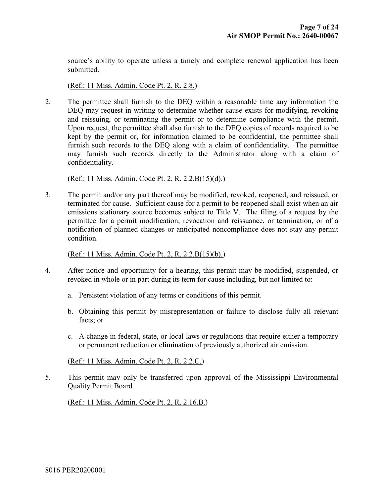source's ability to operate unless a timely and complete renewal application has been submitted.

(Ref.: 11 Miss. Admin. Code Pt. 2, R. 2.8.)

2. The permittee shall furnish to the DEQ within a reasonable time any information the DEQ may request in writing to determine whether cause exists for modifying, revoking and reissuing, or terminating the permit or to determine compliance with the permit. Upon request, the permittee shall also furnish to the DEQ copies of records required to be kept by the permit or, for information claimed to be confidential, the permittee shall furnish such records to the DEQ along with a claim of confidentiality. The permittee may furnish such records directly to the Administrator along with a claim of confidentiality.

(Ref.: 11 Miss. Admin. Code Pt. 2, R. 2.2.B(15)(d).)

3. The permit and/or any part thereof may be modified, revoked, reopened, and reissued, or terminated for cause. Sufficient cause for a permit to be reopened shall exist when an air emissions stationary source becomes subject to Title V. The filing of a request by the permittee for a permit modification, revocation and reissuance, or termination, or of a notification of planned changes or anticipated noncompliance does not stay any permit condition.

(Ref.: 11 Miss. Admin. Code Pt. 2, R. 2.2.B(15)(b).)

- 4. After notice and opportunity for a hearing, this permit may be modified, suspended, or revoked in whole or in part during its term for cause including, but not limited to:
	- a. Persistent violation of any terms or conditions of this permit.
	- b. Obtaining this permit by misrepresentation or failure to disclose fully all relevant facts; or
	- c. A change in federal, state, or local laws or regulations that require either a temporary or permanent reduction or elimination of previously authorized air emission.

(Ref.: 11 Miss. Admin. Code Pt. 2, R. 2.2.C.)

5. This permit may only be transferred upon approval of the Mississippi Environmental Quality Permit Board.

(Ref.: 11 Miss. Admin. Code Pt. 2, R. 2.16.B.)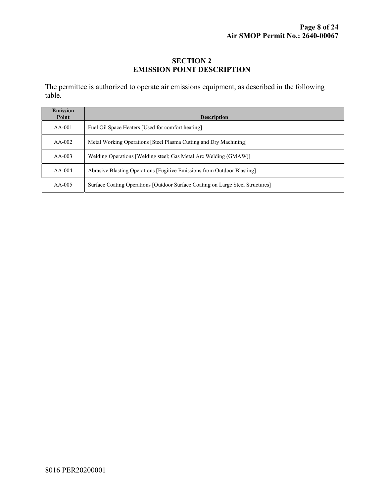#### SECTION 2 EMISSION POINT DESCRIPTION

The permittee is authorized to operate air emissions equipment, as described in the following table.

| <b>Emission</b><br>Point | <b>Description</b>                                                             |  |  |
|--------------------------|--------------------------------------------------------------------------------|--|--|
| $AA-001$                 | Fuel Oil Space Heaters [Used for comfort heating]                              |  |  |
| $AA-002$                 | Metal Working Operations [Steel Plasma Cutting and Dry Machining]              |  |  |
| $AA-003$                 | Welding Operations [Welding steel; Gas Metal Arc Welding (GMAW)]               |  |  |
| $AA-004$                 | Abrasive Blasting Operations [Fugitive Emissions from Outdoor Blasting]        |  |  |
| $AA-005$                 | Surface Coating Operations [Outdoor Surface Coating on Large Steel Structures] |  |  |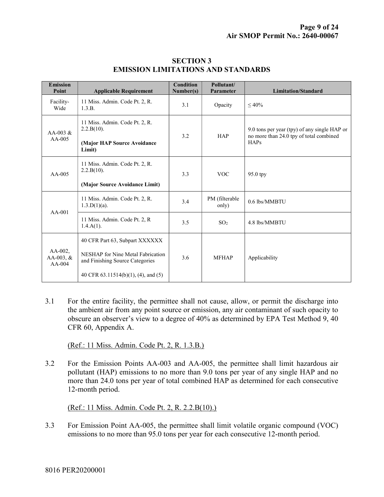| <b>Emission</b><br>Point              | <b>Applicable Requirement</b>                                        | <b>Condition</b><br>Number(s) | Pollutant/<br>Parameter | <b>Limitation/Standard</b>                                                                      |
|---------------------------------------|----------------------------------------------------------------------|-------------------------------|-------------------------|-------------------------------------------------------------------------------------------------|
| Facility-<br>Wide                     | 11 Miss. Admin. Code Pt. 2, R.<br>1.3.B.                             | 3.1                           | Opacity                 | $\leq 40\%$                                                                                     |
| AA-003 $&$<br>$AA-005$                | 11 Miss. Admin. Code Pt. 2, R.<br>2.2.B(10).                         | 3.2                           | <b>HAP</b>              | 9.0 tons per year (tpy) of any single HAP or<br>no more than 24.0 tpy of total combined<br>HAPs |
|                                       | (Major HAP Source Avoidance<br>Limit)                                |                               |                         |                                                                                                 |
| $AA-005$                              | 11 Miss. Admin. Code Pt. 2, R.<br>2.2.B(10).                         | 3.3                           | <b>VOC</b>              | 95.0 tpy                                                                                        |
|                                       | (Major Source Avoidance Limit)                                       |                               |                         |                                                                                                 |
| $AA-001$                              | 11 Miss. Admin. Code Pt. 2, R.<br>$1.3.D(1)(a)$ .                    | 3.4                           | PM (filterable<br>only) | 0.6 lbs/MMBTU                                                                                   |
|                                       | 11 Miss. Admin. Code Pt. 2, R.<br>$1.4.A(1)$ .                       | 3.5                           | SO <sub>2</sub>         | 4.8 lbs/MMBTU                                                                                   |
| $AA-002$ ,<br>AA-003, $&$<br>$AA-004$ | 40 CFR Part 63, Subpart XXXXXX                                       |                               |                         |                                                                                                 |
|                                       | NESHAP for Nine Metal Fabrication<br>and Finishing Source Categories | 3.6                           | <b>MFHAP</b>            | Applicability                                                                                   |
|                                       | 40 CFR $63.11514(b)(1)$ , $(4)$ , and $(5)$                          |                               |                         |                                                                                                 |

#### SECTION 3 EMISSION LIMITATIONS AND STANDARDS

3.1 For the entire facility, the permittee shall not cause, allow, or permit the discharge into the ambient air from any point source or emission, any air contaminant of such opacity to obscure an observer's view to a degree of 40% as determined by EPA Test Method 9, 40 CFR 60, Appendix A.

(Ref.: 11 Miss. Admin. Code Pt. 2, R. 1.3.B.)

3.2 For the Emission Points AA-003 and AA-005, the permittee shall limit hazardous air pollutant (HAP) emissions to no more than 9.0 tons per year of any single HAP and no more than 24.0 tons per year of total combined HAP as determined for each consecutive 12-month period.

(Ref.: 11 Miss. Admin. Code Pt. 2, R. 2.2.B(10).)

3.3 For Emission Point AA-005, the permittee shall limit volatile organic compound (VOC) emissions to no more than 95.0 tons per year for each consecutive 12-month period.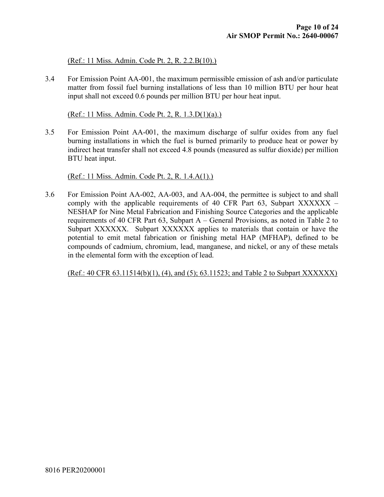(Ref.: 11 Miss. Admin. Code Pt. 2, R. 2.2.B(10).)

3.4 For Emission Point AA-001, the maximum permissible emission of ash and/or particulate matter from fossil fuel burning installations of less than 10 million BTU per hour heat input shall not exceed 0.6 pounds per million BTU per hour heat input.

(Ref.: 11 Miss. Admin. Code Pt. 2, R. 1.3.D(1)(a).)

3.5 For Emission Point AA-001, the maximum discharge of sulfur oxides from any fuel burning installations in which the fuel is burned primarily to produce heat or power by indirect heat transfer shall not exceed 4.8 pounds (measured as sulfur dioxide) per million BTU heat input.

(Ref.: 11 Miss. Admin. Code Pt. 2, R. 1.4.A(1).)

3.6 For Emission Point AA-002, AA-003, and AA-004, the permittee is subject to and shall comply with the applicable requirements of 40 CFR Part  $63$ , Subpart XXXXXX – NESHAP for Nine Metal Fabrication and Finishing Source Categories and the applicable requirements of 40 CFR Part 63, Subpart A – General Provisions, as noted in Table 2 to Subpart XXXXXX. Subpart XXXXXX applies to materials that contain or have the potential to emit metal fabrication or finishing metal HAP (MFHAP), defined to be compounds of cadmium, chromium, lead, manganese, and nickel, or any of these metals in the elemental form with the exception of lead.

(Ref.: 40 CFR 63.11514(b)(1), (4), and (5); 63.11523; and Table 2 to Subpart XXXXXX)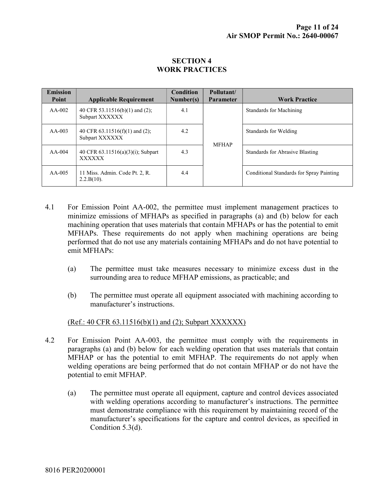#### SECTION 4 WORK PRACTICES

| <b>Emission</b><br><b>Point</b> | <b>Applicable Requirement</b>                         | Condition<br>Number(s) | Pollutant/<br><b>Parameter</b> | <b>Work Practice</b>                     |
|---------------------------------|-------------------------------------------------------|------------------------|--------------------------------|------------------------------------------|
| $AA-002$                        | 40 CFR 53.11516(b)(1) and (2);<br>Subpart XXXXXX      | 4.1                    | <b>MFHAP</b>                   | Standards for Machining                  |
| $AA-003$                        | 40 CFR $63.11516(f)(1)$ and $(2)$ ;<br>Subpart XXXXXX | 4.2                    |                                | Standards for Welding                    |
| $AA-004$                        | 40 CFR $63.11516(a)(3)(i)$ ; Subpart<br><b>XXXXXX</b> | 4.3                    |                                | Standards for Abrasive Blasting          |
| $AA-005$                        | 11 Miss. Admin. Code Pt. 2, R.<br>$2.2.B(10)$ .       | 4.4                    |                                | Conditional Standards for Spray Painting |

- 4.1 For Emission Point AA-002, the permittee must implement management practices to minimize emissions of MFHAPs as specified in paragraphs (a) and (b) below for each machining operation that uses materials that contain MFHAPs or has the potential to emit MFHAPs. These requirements do not apply when machining operations are being performed that do not use any materials containing MFHAPs and do not have potential to emit MFHAPs:
	- (a) The permittee must take measures necessary to minimize excess dust in the surrounding area to reduce MFHAP emissions, as practicable; and
	- (b) The permittee must operate all equipment associated with machining according to manufacturer's instructions.

(Ref.: 40 CFR 63.11516(b)(1) and (2); Subpart XXXXXX)

- 4.2 For Emission Point AA-003, the permittee must comply with the requirements in paragraphs (a) and (b) below for each welding operation that uses materials that contain MFHAP or has the potential to emit MFHAP. The requirements do not apply when welding operations are being performed that do not contain MFHAP or do not have the potential to emit MFHAP.
	- (a) The permittee must operate all equipment, capture and control devices associated with welding operations according to manufacturer's instructions. The permittee must demonstrate compliance with this requirement by maintaining record of the manufacturer's specifications for the capture and control devices, as specified in Condition 5.3(d).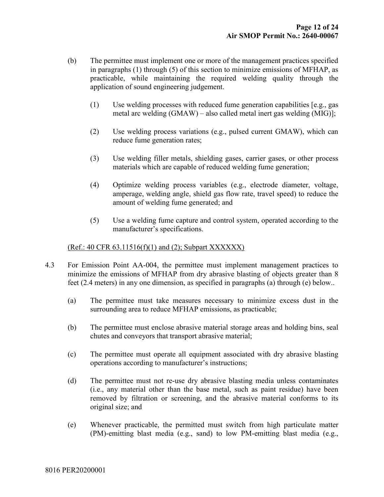- (b) The permittee must implement one or more of the management practices specified in paragraphs (1) through (5) of this section to minimize emissions of MFHAP, as practicable, while maintaining the required welding quality through the application of sound engineering judgement.
	- (1) Use welding processes with reduced fume generation capabilities [e.g., gas metal arc welding (GMAW) – also called metal inert gas welding (MIG)];
	- (2) Use welding process variations (e.g., pulsed current GMAW), which can reduce fume generation rates;
	- (3) Use welding filler metals, shielding gases, carrier gases, or other process materials which are capable of reduced welding fume generation;
	- (4) Optimize welding process variables (e.g., electrode diameter, voltage, amperage, welding angle, shield gas flow rate, travel speed) to reduce the amount of welding fume generated; and
	- (5) Use a welding fume capture and control system, operated according to the manufacturer's specifications.

#### (Ref.: 40 CFR 63.11516(f)(1) and (2); Subpart XXXXXX)

- 4.3 For Emission Point AA-004, the permittee must implement management practices to minimize the emissions of MFHAP from dry abrasive blasting of objects greater than 8 feet (2.4 meters) in any one dimension, as specified in paragraphs (a) through (e) below..
	- (a) The permittee must take measures necessary to minimize excess dust in the surrounding area to reduce MFHAP emissions, as practicable;
	- (b) The permittee must enclose abrasive material storage areas and holding bins, seal chutes and conveyors that transport abrasive material;
	- (c) The permittee must operate all equipment associated with dry abrasive blasting operations according to manufacturer's instructions;
	- (d) The permittee must not re-use dry abrasive blasting media unless contaminates (i.e., any material other than the base metal, such as paint residue) have been removed by filtration or screening, and the abrasive material conforms to its original size; and
	- (e) Whenever practicable, the permitted must switch from high particulate matter (PM)-emitting blast media (e.g., sand) to low PM-emitting blast media (e.g.,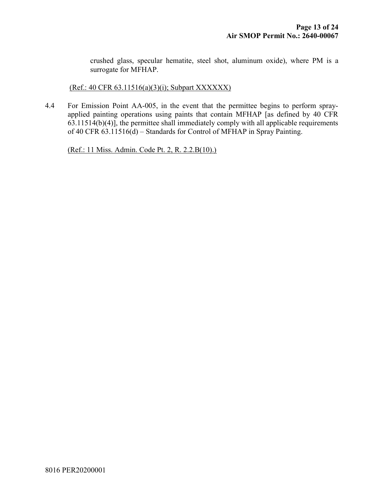crushed glass, specular hematite, steel shot, aluminum oxide), where PM is a surrogate for MFHAP.

#### (Ref.: 40 CFR 63.11516(a)(3)(i); Subpart XXXXXX)

4.4 For Emission Point AA-005, in the event that the permittee begins to perform sprayapplied painting operations using paints that contain MFHAP [as defined by 40 CFR  $63.11514(b)(4)$ , the permittee shall immediately comply with all applicable requirements of 40 CFR 63.11516(d) – Standards for Control of MFHAP in Spray Painting.

(Ref.: 11 Miss. Admin. Code Pt. 2, R. 2.2.B(10).)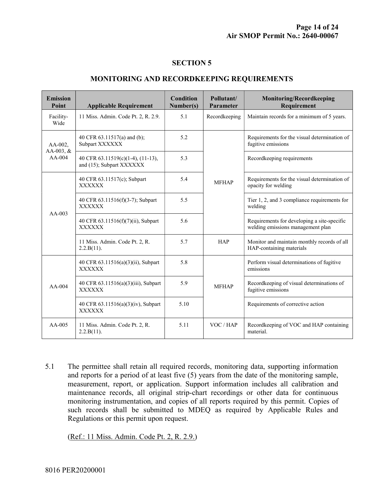#### SECTION 5

#### MONITORING AND RECORDKEEPING REQUIREMENTS

| <b>Emission</b><br>Point            | <b>Applicable Requirement</b>                                 | <b>Condition</b><br>Number(s) | Pollutant/<br>Parameter | <b>Monitoring/Recordkeeping</b><br>Requirement                                   |
|-------------------------------------|---------------------------------------------------------------|-------------------------------|-------------------------|----------------------------------------------------------------------------------|
| Facility-<br>Wide                   | 11 Miss. Admin. Code Pt. 2, R. 2.9.                           | 5.1                           | Recordkeeping           | Maintain records for a minimum of 5 years.                                       |
| $AA-002$ ,<br>AA-003, &<br>$AA-004$ | 40 CFR 63.11517(a) and (b);<br>Subpart XXXXXX                 | 5.2                           |                         | Requirements for the visual determination of<br>fugitive emissions               |
|                                     | 40 CFR 63.11519(c)(1-4), (11-13),<br>and (15); Subpart XXXXXX | 5.3                           |                         | Recordkeeping requirements                                                       |
| $AA-003$                            | 40 CFR 63.11517(c); Subpart<br><b>XXXXXX</b>                  | 5.4                           | <b>MFHAP</b>            | Requirements for the visual determination of<br>opacity for welding              |
|                                     | 40 CFR 63.11516(f)(3-7); Subpart<br><b>XXXXXX</b>             | 5.5                           |                         | Tier 1, 2, and 3 compliance requirements for<br>welding                          |
|                                     | 40 CFR 63.11516(f)(7)(ii), Subpart<br><b>XXXXXX</b>           | 5.6                           |                         | Requirements for developing a site-specific<br>welding emissions management plan |
|                                     | 11 Miss. Admin. Code Pt. 2, R.<br>2.2.B(11).                  | 5.7                           | <b>HAP</b>              | Monitor and maintain monthly records of all<br>HAP-containing materials          |
| $AA-004$                            | 40 CFR 63.11516(a)(3)(ii), Subpart<br><b>XXXXXX</b>           | 5.8                           | <b>MFHAP</b>            | Perform visual determinations of fugitive<br>emissions                           |
|                                     | 40 CFR 63.11516(a)(3)(iii), Subpart<br><b>XXXXXX</b>          | 5.9                           |                         | Recordkeeping of visual determinations of<br>fugitive emissions                  |
|                                     | 40 CFR 63.11516(a)(3)(iv), Subpart<br><b>XXXXXX</b>           | 5.10                          |                         | Requirements of corrective action                                                |
| $AA-005$                            | 11 Miss. Admin. Code Pt. 2, R.<br>2.2.B(11).                  | 5.11                          | VOC / HAP               | Recordkeeping of VOC and HAP containing<br>material.                             |

5.1 The permittee shall retain all required records, monitoring data, supporting information and reports for a period of at least five (5) years from the date of the monitoring sample, measurement, report, or application. Support information includes all calibration and maintenance records, all original strip-chart recordings or other data for continuous monitoring instrumentation, and copies of all reports required by this permit. Copies of such records shall be submitted to MDEQ as required by Applicable Rules and Regulations or this permit upon request.

(Ref.: 11 Miss. Admin. Code Pt. 2, R. 2.9.)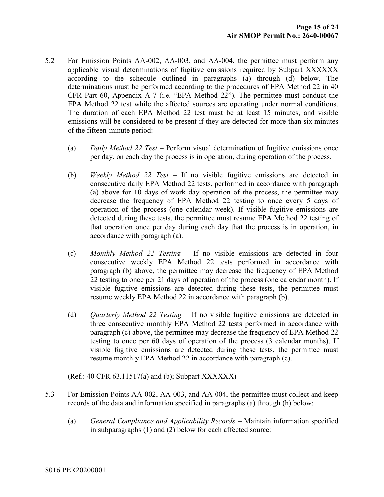- 5.2 For Emission Points AA-002, AA-003, and AA-004, the permittee must perform any applicable visual determinations of fugitive emissions required by Subpart XXXXXX according to the schedule outlined in paragraphs (a) through (d) below. The determinations must be performed according to the procedures of EPA Method 22 in 40 CFR Part 60, Appendix A-7 (i.e. "EPA Method 22"). The permittee must conduct the EPA Method 22 test while the affected sources are operating under normal conditions. The duration of each EPA Method 22 test must be at least 15 minutes, and visible emissions will be considered to be present if they are detected for more than six minutes of the fifteen-minute period:
	- (a) Daily Method 22 Test Perform visual determination of fugitive emissions once per day, on each day the process is in operation, during operation of the process.
	- (b) Weekly Method 22 Test If no visible fugitive emissions are detected in consecutive daily EPA Method 22 tests, performed in accordance with paragraph (a) above for 10 days of work day operation of the process, the permittee may decrease the frequency of EPA Method 22 testing to once every 5 days of operation of the process (one calendar week). If visible fugitive emissions are detected during these tests, the permittee must resume EPA Method 22 testing of that operation once per day during each day that the process is in operation, in accordance with paragraph (a).
	- (c) Monthly Method 22 Testing If no visible emissions are detected in four consecutive weekly EPA Method 22 tests performed in accordance with paragraph (b) above, the permittee may decrease the frequency of EPA Method 22 testing to once per 21 days of operation of the process (one calendar month). If visible fugitive emissions are detected during these tests, the permittee must resume weekly EPA Method 22 in accordance with paragraph (b).
	- (d) *Quarterly Method 22 Testing –* If no visible fugitive emissions are detected in three consecutive monthly EPA Method 22 tests performed in accordance with paragraph (c) above, the permittee may decrease the frequency of EPA Method 22 testing to once per 60 days of operation of the process (3 calendar months). If visible fugitive emissions are detected during these tests, the permittee must resume monthly EPA Method 22 in accordance with paragraph (c).

#### $(Ref.: 40 CFR 63.11517(a) and (b); Subpart XXXXXX)$

- 5.3 For Emission Points AA-002, AA-003, and AA-004, the permittee must collect and keep records of the data and information specified in paragraphs (a) through (h) below:
	- (a) General Compliance and Applicability Records Maintain information specified in subparagraphs (1) and (2) below for each affected source: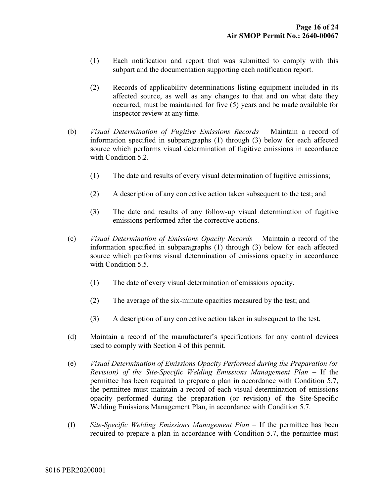- (1) Each notification and report that was submitted to comply with this subpart and the documentation supporting each notification report.
- (2) Records of applicability determinations listing equipment included in its affected source, as well as any changes to that and on what date they occurred, must be maintained for five (5) years and be made available for inspector review at any time.
- (b) Visual Determination of Fugitive Emissions Records Maintain a record of information specified in subparagraphs (1) through (3) below for each affected source which performs visual determination of fugitive emissions in accordance with Condition 5.2.
	- (1) The date and results of every visual determination of fugitive emissions;
	- (2) A description of any corrective action taken subsequent to the test; and
	- (3) The date and results of any follow-up visual determination of fugitive emissions performed after the corrective actions.
- (c) Visual Determination of Emissions Opacity Records Maintain a record of the information specified in subparagraphs (1) through (3) below for each affected source which performs visual determination of emissions opacity in accordance with Condition 5.5.
	- (1) The date of every visual determination of emissions opacity.
	- (2) The average of the six-minute opacities measured by the test; and
	- (3) A description of any corrective action taken in subsequent to the test.
- (d) Maintain a record of the manufacturer's specifications for any control devices used to comply with Section 4 of this permit.
- (e) Visual Determination of Emissions Opacity Performed during the Preparation (or Revision) of the Site-Specific Welding Emissions Management Plan – If the permittee has been required to prepare a plan in accordance with Condition 5.7, the permittee must maintain a record of each visual determination of emissions opacity performed during the preparation (or revision) of the Site-Specific Welding Emissions Management Plan, in accordance with Condition 5.7.
- (f) Site-Specific Welding Emissions Management Plan If the permittee has been required to prepare a plan in accordance with Condition 5.7, the permittee must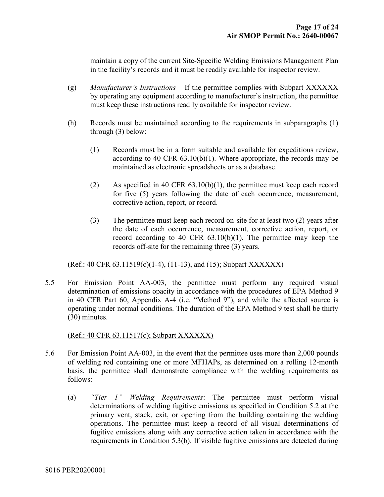maintain a copy of the current Site-Specific Welding Emissions Management Plan in the facility's records and it must be readily available for inspector review.

- (g) Manufacturer's Instructions  $-$  If the permittee complies with Subpart XXXXXX by operating any equipment according to manufacturer's instruction, the permittee must keep these instructions readily available for inspector review.
- (h) Records must be maintained according to the requirements in subparagraphs (1) through (3) below:
	- (1) Records must be in a form suitable and available for expeditious review, according to 40 CFR 63.10(b)(1). Where appropriate, the records may be maintained as electronic spreadsheets or as a database.
	- (2) As specified in 40 CFR 63.10(b)(1), the permittee must keep each record for five (5) years following the date of each occurrence, measurement, corrective action, report, or record.
	- (3) The permittee must keep each record on-site for at least two (2) years after the date of each occurrence, measurement, corrective action, report, or record according to 40 CFR 63.10(b)(1). The permittee may keep the records off-site for the remaining three (3) years.

#### (Ref.: 40 CFR 63.11519(c)(1-4), (11-13), and (15); Subpart XXXXXX)

5.5 For Emission Point AA-003, the permittee must perform any required visual determination of emissions opacity in accordance with the procedures of EPA Method 9 in 40 CFR Part 60, Appendix A-4 (i.e. "Method 9"), and while the affected source is operating under normal conditions. The duration of the EPA Method 9 test shall be thirty (30) minutes.

#### (Ref.: 40 CFR 63.11517(c); Subpart XXXXXX)

- 5.6 For Emission Point AA-003, in the event that the permittee uses more than 2,000 pounds of welding rod containing one or more MFHAPs, as determined on a rolling 12-month basis, the permittee shall demonstrate compliance with the welding requirements as follows:
	- (a) "Tier 1" Welding Requirements: The permittee must perform visual determinations of welding fugitive emissions as specified in Condition 5.2 at the primary vent, stack, exit, or opening from the building containing the welding operations. The permittee must keep a record of all visual determinations of fugitive emissions along with any corrective action taken in accordance with the requirements in Condition 5.3(b). If visible fugitive emissions are detected during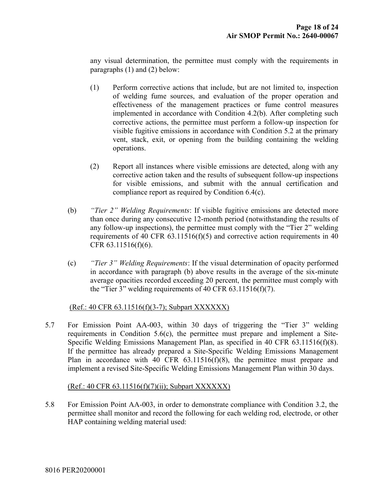any visual determination, the permittee must comply with the requirements in paragraphs (1) and (2) below:

- (1) Perform corrective actions that include, but are not limited to, inspection of welding fume sources, and evaluation of the proper operation and effectiveness of the management practices or fume control measures implemented in accordance with Condition 4.2(b). After completing such corrective actions, the permittee must perform a follow-up inspection for visible fugitive emissions in accordance with Condition 5.2 at the primary vent, stack, exit, or opening from the building containing the welding operations.
- (2) Report all instances where visible emissions are detected, along with any corrective action taken and the results of subsequent follow-up inspections for visible emissions, and submit with the annual certification and compliance report as required by Condition 6.4(c).
- (b) "Tier 2" Welding Requirements: If visible fugitive emissions are detected more than once during any consecutive 12-month period (notwithstanding the results of any follow-up inspections), the permittee must comply with the "Tier 2" welding requirements of 40 CFR 63.11516(f)(5) and corrective action requirements in 40 CFR 63.11516(f)(6).
- (c) "Tier 3" Welding Requirements: If the visual determination of opacity performed in accordance with paragraph (b) above results in the average of the six-minute average opacities recorded exceeding 20 percent, the permittee must comply with the "Tier 3" welding requirements of 40 CFR 63.11516(f)(7).

#### (Ref.: 40 CFR 63.11516(f)(3-7); Subpart XXXXXX)

5.7 For Emission Point AA-003, within 30 days of triggering the "Tier 3" welding requirements in Condition 5.6(c), the permittee must prepare and implement a Site-Specific Welding Emissions Management Plan, as specified in 40 CFR 63.11516(f)(8). If the permittee has already prepared a Site-Specific Welding Emissions Management Plan in accordance with 40 CFR 63.11516(f)(8), the permittee must prepare and implement a revised Site-Specific Welding Emissions Management Plan within 30 days.

#### (Ref.: 40 CFR 63.11516(f)(7)(ii); Subpart XXXXXX)

5.8 For Emission Point AA-003, in order to demonstrate compliance with Condition 3.2, the permittee shall monitor and record the following for each welding rod, electrode, or other HAP containing welding material used: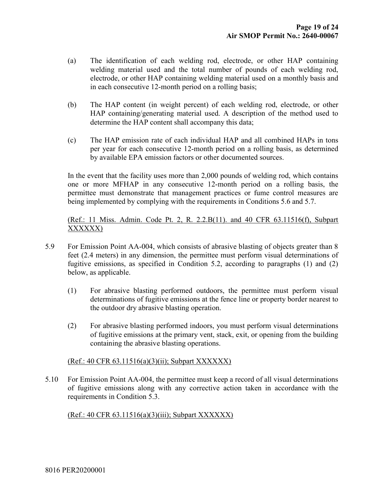- (a) The identification of each welding rod, electrode, or other HAP containing welding material used and the total number of pounds of each welding rod, electrode, or other HAP containing welding material used on a monthly basis and in each consecutive 12-month period on a rolling basis;
- (b) The HAP content (in weight percent) of each welding rod, electrode, or other HAP containing/generating material used. A description of the method used to determine the HAP content shall accompany this data;
- (c) The HAP emission rate of each individual HAP and all combined HAPs in tons per year for each consecutive 12-month period on a rolling basis, as determined by available EPA emission factors or other documented sources.

In the event that the facility uses more than 2,000 pounds of welding rod, which contains one or more MFHAP in any consecutive 12-month period on a rolling basis, the permittee must demonstrate that management practices or fume control measures are being implemented by complying with the requirements in Conditions 5.6 and 5.7.

(Ref.: 11 Miss. Admin. Code Pt. 2, R. 2.2.B(11). and 40 CFR 63.11516(f), Subpart XXXXXX)

- 5.9 For Emission Point AA-004, which consists of abrasive blasting of objects greater than 8 feet (2.4 meters) in any dimension, the permittee must perform visual determinations of fugitive emissions, as specified in Condition 5.2, according to paragraphs (1) and (2) below, as applicable.
	- (1) For abrasive blasting performed outdoors, the permittee must perform visual determinations of fugitive emissions at the fence line or property border nearest to the outdoor dry abrasive blasting operation.
	- (2) For abrasive blasting performed indoors, you must perform visual determinations of fugitive emissions at the primary vent, stack, exit, or opening from the building containing the abrasive blasting operations.

#### (Ref.: 40 CFR 63.11516(a)(3)(ii); Subpart XXXXXX)

5.10 For Emission Point AA-004, the permittee must keep a record of all visual determinations of fugitive emissions along with any corrective action taken in accordance with the requirements in Condition 5.3.

#### (Ref.: 40 CFR 63.11516(a)(3)(iii); Subpart XXXXXX)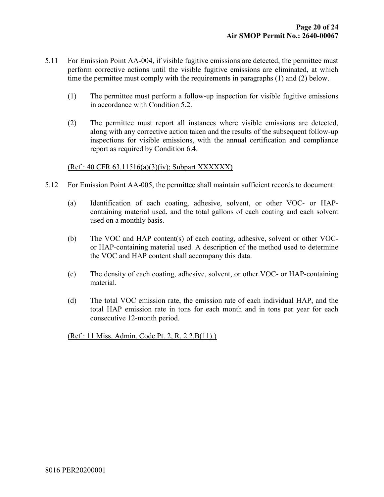- 5.11 For Emission Point AA-004, if visible fugitive emissions are detected, the permittee must perform corrective actions until the visible fugitive emissions are eliminated, at which time the permittee must comply with the requirements in paragraphs (1) and (2) below.
	- (1) The permittee must perform a follow-up inspection for visible fugitive emissions in accordance with Condition 5.2.
	- (2) The permittee must report all instances where visible emissions are detected, along with any corrective action taken and the results of the subsequent follow-up inspections for visible emissions, with the annual certification and compliance report as required by Condition 6.4.

#### (Ref.: 40 CFR 63.11516(a)(3)(iv); Subpart XXXXXX)

- 5.12 For Emission Point AA-005, the permittee shall maintain sufficient records to document:
	- (a) Identification of each coating, adhesive, solvent, or other VOC- or HAPcontaining material used, and the total gallons of each coating and each solvent used on a monthly basis.
	- (b) The VOC and HAP content(s) of each coating, adhesive, solvent or other VOCor HAP-containing material used. A description of the method used to determine the VOC and HAP content shall accompany this data.
	- (c) The density of each coating, adhesive, solvent, or other VOC- or HAP-containing material.
	- (d) The total VOC emission rate, the emission rate of each individual HAP, and the total HAP emission rate in tons for each month and in tons per year for each consecutive 12-month period.

(Ref.: 11 Miss. Admin. Code Pt. 2, R. 2.2.B(11).)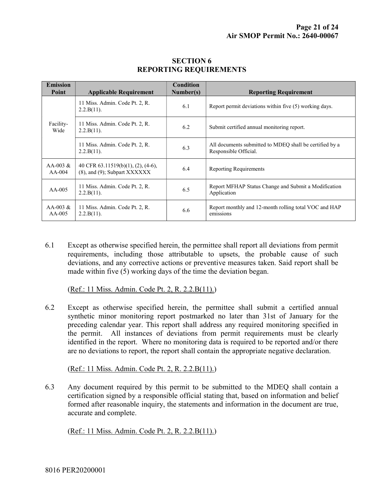| <b>Emission</b><br>Point | <b>Applicable Requirement</b>                                                     | Condition<br>Number(s) | <b>Reporting Requirement</b>                                                     |
|--------------------------|-----------------------------------------------------------------------------------|------------------------|----------------------------------------------------------------------------------|
|                          | 11 Miss. Admin. Code Pt. 2, R.<br>2.2.B(11).                                      | 6.1                    | Report permit deviations within five (5) working days.                           |
| Facility-<br>Wide        | 11 Miss. Admin. Code Pt. 2, R.<br>2.2.B(11).                                      | 6.2                    | Submit certified annual monitoring report.                                       |
|                          | 11 Miss. Admin. Code Pt. 2, R.<br>2.2.B(11).                                      | 6.3                    | All documents submitted to MDEO shall be certified by a<br>Responsible Official. |
| AA-003 $\&$<br>$AA-004$  | 40 CFR $63.11519(b)(1)$ , $(2)$ , $(4-6)$ ,<br>$(8)$ , and $(9)$ ; Subpart XXXXXX | 6.4                    | <b>Reporting Requirements</b>                                                    |
| $AA-005$                 | 11 Miss. Admin. Code Pt. 2, R.<br>2.2.B(11).                                      | 6.5                    | Report MFHAP Status Change and Submit a Modification<br>Application              |
| AA-003 $\&$<br>$AA-005$  | 11 Miss. Admin. Code Pt. 2, R.<br>2.2.B(11).                                      | 6.6                    | Report monthly and 12-month rolling total VOC and HAP<br>emissions               |

#### SECTION 6 REPORTING REQUIREMENTS

6.1 Except as otherwise specified herein, the permittee shall report all deviations from permit requirements, including those attributable to upsets, the probable cause of such deviations, and any corrective actions or preventive measures taken. Said report shall be made within five (5) working days of the time the deviation began.

(Ref.: 11 Miss. Admin. Code Pt. 2, R. 2.2.B(11).)

6.2 Except as otherwise specified herein, the permittee shall submit a certified annual synthetic minor monitoring report postmarked no later than 31st of January for the preceding calendar year. This report shall address any required monitoring specified in the permit. All instances of deviations from permit requirements must be clearly identified in the report. Where no monitoring data is required to be reported and/or there are no deviations to report, the report shall contain the appropriate negative declaration.

(Ref.: 11 Miss. Admin. Code Pt. 2, R. 2.2.B(11).)

6.3 Any document required by this permit to be submitted to the MDEQ shall contain a certification signed by a responsible official stating that, based on information and belief formed after reasonable inquiry, the statements and information in the document are true, accurate and complete.

(Ref.: 11 Miss. Admin. Code Pt. 2, R. 2.2.B(11).)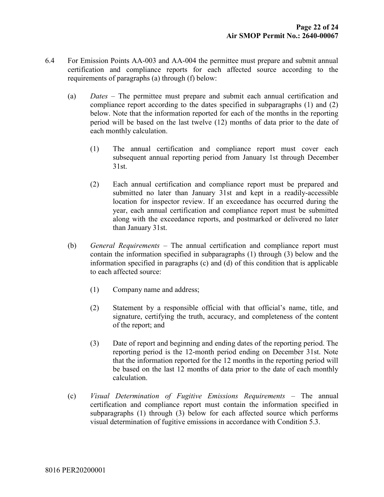- 6.4 For Emission Points AA-003 and AA-004 the permittee must prepare and submit annual certification and compliance reports for each affected source according to the requirements of paragraphs (a) through (f) below:
	- (a) Dates The permittee must prepare and submit each annual certification and compliance report according to the dates specified in subparagraphs (1) and (2) below. Note that the information reported for each of the months in the reporting period will be based on the last twelve (12) months of data prior to the date of each monthly calculation.
		- (1) The annual certification and compliance report must cover each subsequent annual reporting period from January 1st through December 31st.
		- (2) Each annual certification and compliance report must be prepared and submitted no later than January 31st and kept in a readily-accessible location for inspector review. If an exceedance has occurred during the year, each annual certification and compliance report must be submitted along with the exceedance reports, and postmarked or delivered no later than January 31st.
	- (b) General Requirements The annual certification and compliance report must contain the information specified in subparagraphs (1) through (3) below and the information specified in paragraphs (c) and (d) of this condition that is applicable to each affected source:
		- (1) Company name and address;
		- (2) Statement by a responsible official with that official's name, title, and signature, certifying the truth, accuracy, and completeness of the content of the report; and
		- (3) Date of report and beginning and ending dates of the reporting period. The reporting period is the 12-month period ending on December 31st. Note that the information reported for the 12 months in the reporting period will be based on the last 12 months of data prior to the date of each monthly calculation.
	- (c) Visual Determination of Fugitive Emissions Requirements The annual certification and compliance report must contain the information specified in subparagraphs (1) through (3) below for each affected source which performs visual determination of fugitive emissions in accordance with Condition 5.3.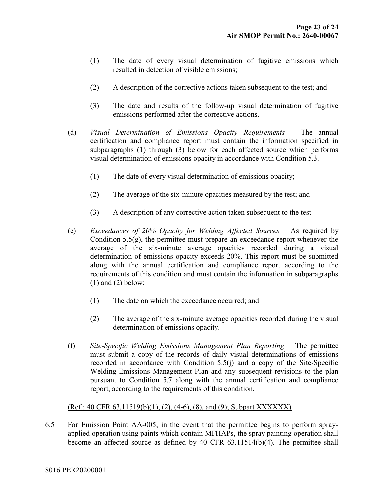- (1) The date of every visual determination of fugitive emissions which resulted in detection of visible emissions;
- (2) A description of the corrective actions taken subsequent to the test; and
- (3) The date and results of the follow-up visual determination of fugitive emissions performed after the corrective actions.
- (d) Visual Determination of Emissions Opacity Requirements The annual certification and compliance report must contain the information specified in subparagraphs (1) through (3) below for each affected source which performs visual determination of emissions opacity in accordance with Condition 5.3.
	- (1) The date of every visual determination of emissions opacity;
	- (2) The average of the six-minute opacities measured by the test; and
	- (3) A description of any corrective action taken subsequent to the test.
- (e) Exceedances of 20% Opacity for Welding Affected Sources As required by Condition  $5.5(g)$ , the permittee must prepare an exceedance report whenever the average of the six-minute average opacities recorded during a visual determination of emissions opacity exceeds 20%. This report must be submitted along with the annual certification and compliance report according to the requirements of this condition and must contain the information in subparagraphs  $(1)$  and  $(2)$  below:
	- (1) The date on which the exceedance occurred; and
	- (2) The average of the six-minute average opacities recorded during the visual determination of emissions opacity.
- (f) Site-Specific Welding Emissions Management Plan Reporting The permittee must submit a copy of the records of daily visual determinations of emissions recorded in accordance with Condition 5.5(j) and a copy of the Site-Specific Welding Emissions Management Plan and any subsequent revisions to the plan pursuant to Condition 5.7 along with the annual certification and compliance report, according to the requirements of this condition.

#### $(Ref.: 40 CFR 63.11519(b)(1), (2), (4-6), (8), and (9); Subpart XXXXXX)$

6.5 For Emission Point AA-005, in the event that the permittee begins to perform sprayapplied operation using paints which contain MFHAPs, the spray painting operation shall become an affected source as defined by 40 CFR 63.11514(b)(4). The permittee shall